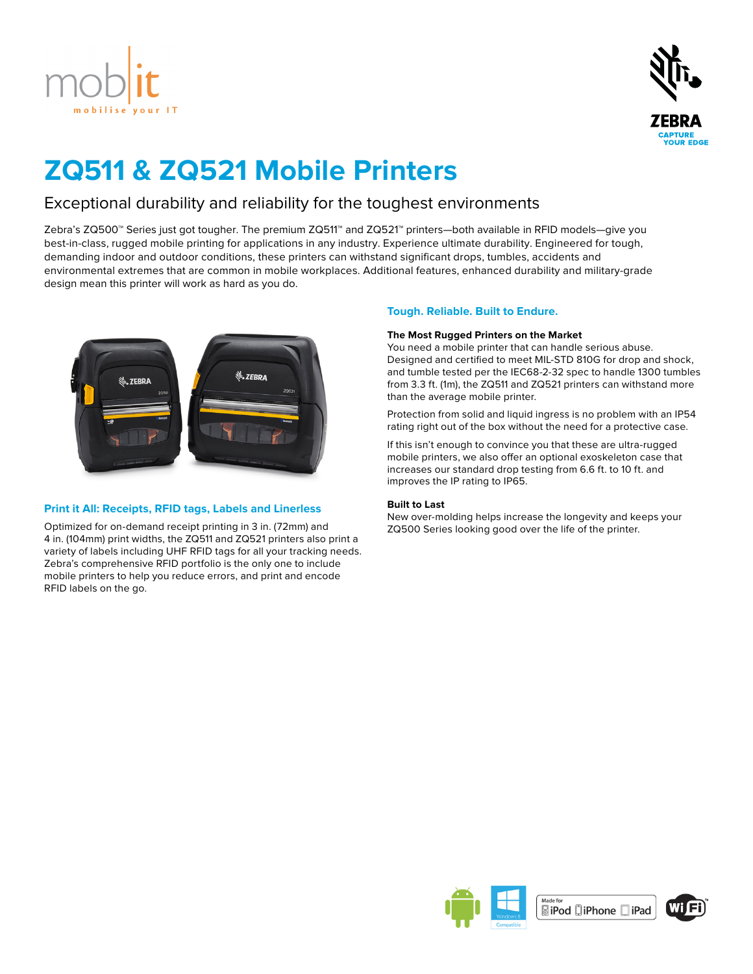



# **ZQ511 & ZQ521 Mobile Printers**

# Exceptional durability and reliability for the toughest environments

Zebra's ZQ500™ Series just got tougher. The premium ZQ511™ and ZQ521™ printers—both available in RFID models—give you best-in-class, rugged mobile printing for applications in any industry. Experience ultimate durability. Engineered for tough, demanding indoor and outdoor conditions, these printers can withstand significant drops, tumbles, accidents and environmental extremes that are common in mobile workplaces. Additional features, enhanced durability and military-grade design mean this printer will work as hard as you do.



# **Print it All: Receipts, RFID tags, Labels and Linerless**

Optimized for on-demand receipt printing in 3 in. (72mm) and 4 in. (104mm) print widths, the ZQ511 and ZQ521 printers also print a variety of labels including UHF RFID tags for all your tracking needs. Zebra's comprehensive RFID portfolio is the only one to include mobile printers to help you reduce errors, and print and encode RFID labels on the go.

# **Tough. Reliable. Built to Endure.**

# **The Most Rugged Printers on the Market**

You need a mobile printer that can handle serious abuse. Designed and certified to meet MIL-STD 810G for drop and shock, and tumble tested per the IEC68-2-32 spec to handle 1300 tumbles from 3.3 ft. (1m), the ZQ511 and ZQ521 printers can withstand more than the average mobile printer.

Protection from solid and liquid ingress is no problem with an IP54 rating right out of the box without the need for a protective case.

If this isn't enough to convince you that these are ultra-rugged mobile printers, we also offer an optional exoskeleton case that increases our standard drop testing from 6.6 ft. to 10 ft. and improves the IP rating to IP65.

### **Built to Last**

New over-molding helps increase the longevity and keeps your ZQ500 Series looking good over the life of the printer.



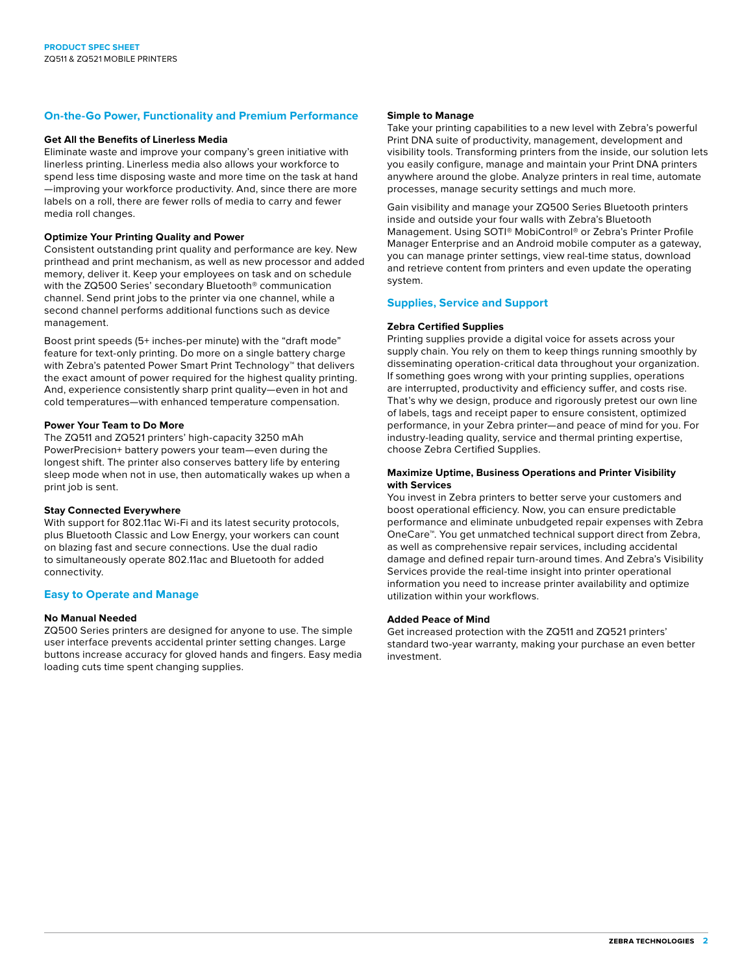# **On-the-Go Power, Functionality and Premium Performance**

#### **Get All the Benefits of Linerless Media**

Eliminate waste and improve your company's green initiative with linerless printing. Linerless media also allows your workforce to spend less time disposing waste and more time on the task at hand —improving your workforce productivity. And, since there are more labels on a roll, there are fewer rolls of media to carry and fewer media roll changes.

## **Optimize Your Printing Quality and Power**

Consistent outstanding print quality and performance are key. New printhead and print mechanism, as well as new processor and added memory, deliver it. Keep your employees on task and on schedule with the ZQ500 Series' secondary Bluetooth® communication channel. Send print jobs to the printer via one channel, while a second channel performs additional functions such as device management.

Boost print speeds (5+ inches-per minute) with the "draft mode" feature for text-only printing. Do more on a single battery charge with Zebra's patented Power Smart Print Technology™ that delivers the exact amount of power required for the highest quality printing. And, experience consistently sharp print quality—even in hot and cold temperatures—with enhanced temperature compensation.

# **Power Your Team to Do More**

The ZQ511 and ZQ521 printers' high-capacity 3250 mAh PowerPrecision+ battery powers your team—even during the longest shift. The printer also conserves battery life by entering sleep mode when not in use, then automatically wakes up when a print job is sent.

#### **Stay Connected Everywhere**

With support for 802.11ac Wi-Fi and its latest security protocols, plus Bluetooth Classic and Low Energy, your workers can count on blazing fast and secure connections. Use the dual radio to simultaneously operate 802.11ac and Bluetooth for added connectivity.

## **Easy to Operate and Manage**

#### **No Manual Needed**

ZQ500 Series printers are designed for anyone to use. The simple user interface prevents accidental printer setting changes. Large buttons increase accuracy for gloved hands and fingers. Easy media loading cuts time spent changing supplies.

#### **Simple to Manage**

Take your printing capabilities to a new level with Zebra's powerful Print DNA suite of productivity, management, development and visibility tools. Transforming printers from the inside, our solution lets you easily configure, manage and maintain your Print DNA printers anywhere around the globe. Analyze printers in real time, automate processes, manage security settings and much more.

Gain visibility and manage your ZQ500 Series Bluetooth printers inside and outside your four walls with Zebra's Bluetooth Management. Using SOTI® MobiControl® or Zebra's Printer Profile Manager Enterprise and an Android mobile computer as a gateway, you can manage printer settings, view real-time status, download and retrieve content from printers and even update the operating system.

### **Supplies, Service and Support**

#### **Zebra Certified Supplies**

Printing supplies provide a digital voice for assets across your supply chain. You rely on them to keep things running smoothly by disseminating operation-critical data throughout your organization. If something goes wrong with your printing supplies, operations are interrupted, productivity and efficiency suffer, and costs rise. That's why we design, produce and rigorously pretest our own line of labels, tags and receipt paper to ensure consistent, optimized performance, in your Zebra printer—and peace of mind for you. For industry-leading quality, service and thermal printing expertise, choose Zebra Certified Supplies.

#### **Maximize Uptime, Business Operations and Printer Visibility with Services**

You invest in Zebra printers to better serve your customers and boost operational efficiency. Now, you can ensure predictable performance and eliminate unbudgeted repair expenses with Zebra OneCare™. You get unmatched technical support direct from Zebra, as well as comprehensive repair services, including accidental damage and defined repair turn-around times. And Zebra's Visibility Services provide the real-time insight into printer operational information you need to increase printer availability and optimize utilization within your workflows.

#### **Added Peace of Mind**

Get increased protection with the ZQ511 and ZQ521 printers' standard two-year warranty, making your purchase an even better investment.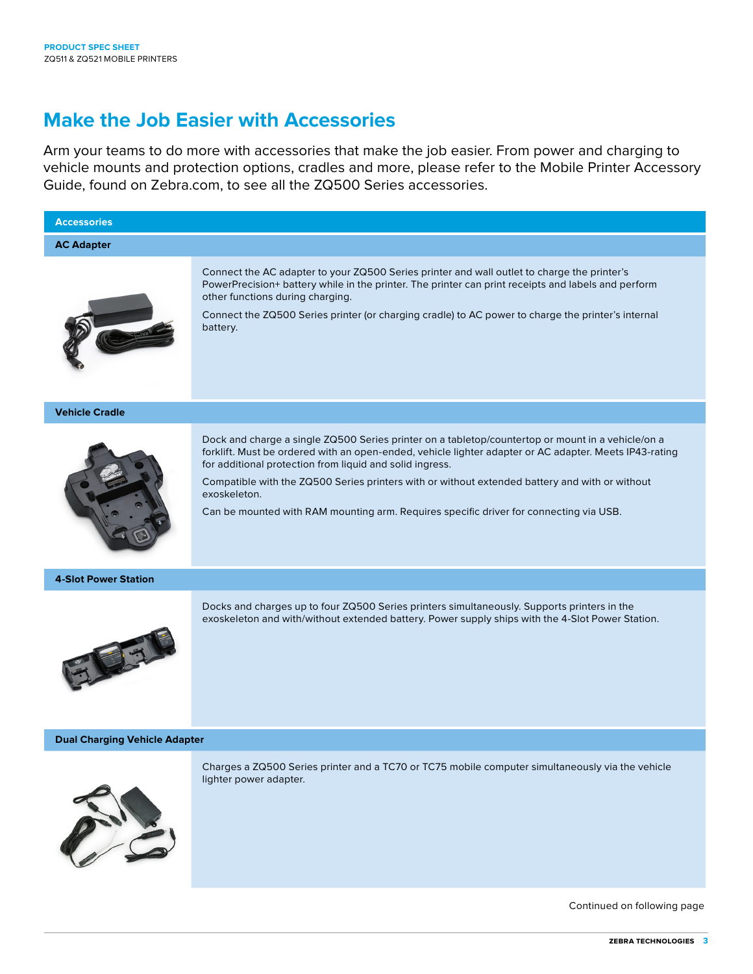# **Make the Job Easier with Accessories**

Arm your teams to do more with accessories that make the job easier. From power and charging to vehicle mounts and protection options, cradles and more, please refer to the Mobile Printer Accessory Guide, found on Zebra.com, to see all the ZQ500 Series accessories.



Continued on following page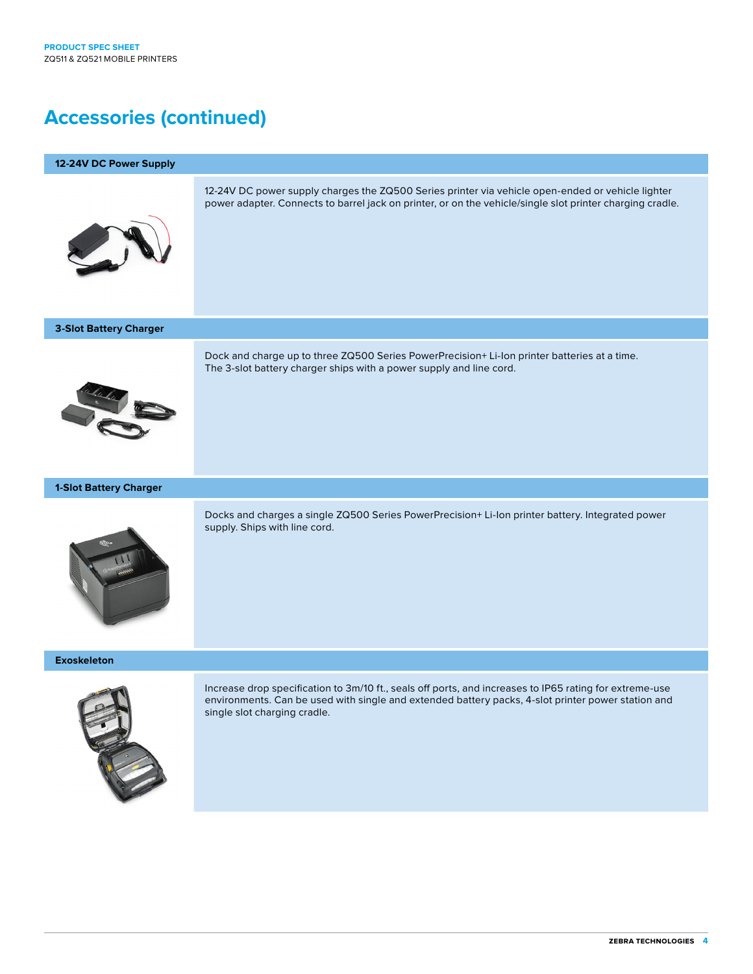# **Accessories (continued)**

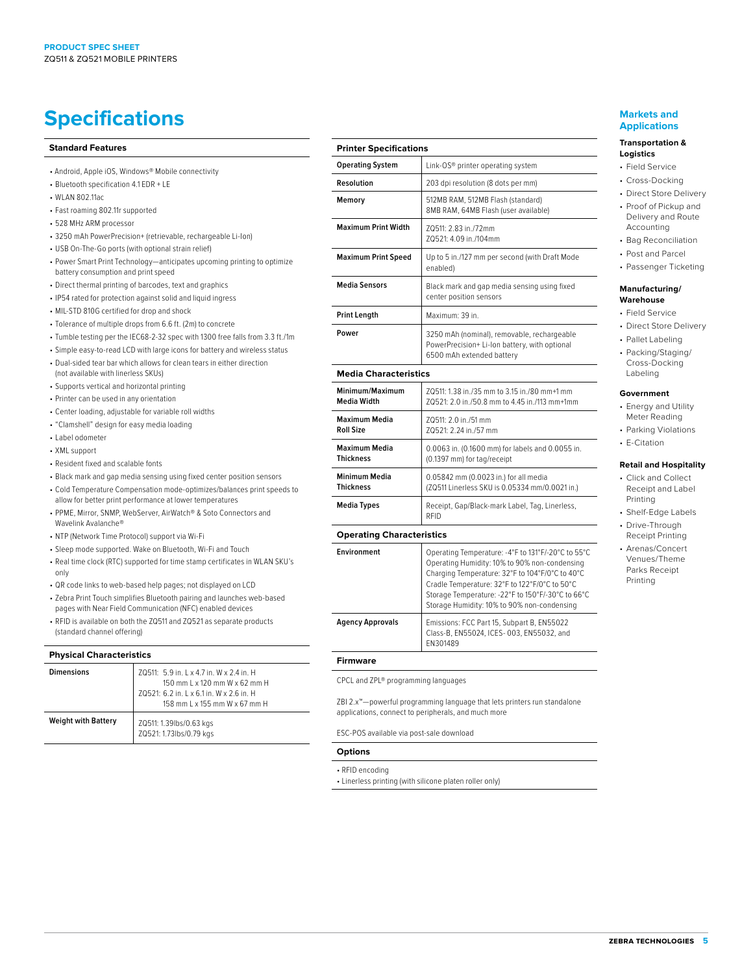# **Specifications Markets and** <br> **Specifications**

#### **Standard Features**

- Android, Apple iOS, Windows® Mobile connectivity
- Bluetooth specification 4.1 EDR + LE
- WLAN 802.11ac
- Fast roaming 802.11r supported
- 528 MHz ARM processor
- 3250 mAh PowerPrecision+ (retrievable, rechargeable Li-Ion)
- USB On-The-Go ports (with optional strain relief)
- Power Smart Print Technology—anticipates upcoming printing to optimize battery consumption and print speed
- Direct thermal printing of barcodes, text and graphics
- IP54 rated for protection against solid and liquid ingress
- MIL-STD 810G certified for drop and shock
- Tolerance of multiple drops from 6.6 ft. (2m) to concrete
- Tumble testing per the IEC68-2-32 spec with 1300 free falls from 3.3 ft./1m
- Simple easy-to-read LCD with large icons for battery and wireless status
- Dual-sided tear bar which allows for clean tears in either direction (not available with linerless SKUs)
- Supports vertical and horizontal printing
- Printer can be used in any orientation
- Center loading, adjustable for variable roll widths
- "Clamshell" design for easy media loading
- Label odometer
- XML support
- Resident fixed and scalable fonts
- Black mark and gap media sensing using fixed center position sensors
- Cold Temperature Compensation mode-optimizes/balances print speeds to allow for better print performance at lower temperatures
- PPME, Mirror, SNMP, WebServer, AirWatch® & Soto Connectors and Wavelink Avalanche®
- NTP (Network Time Protocol) support via Wi-Fi
- Sleep mode supported. Wake on Bluetooth, Wi-Fi and Touch
- Real time clock (RTC) supported for time stamp certificates in WLAN SKU's only
- QR code links to web-based help pages; not displayed on LCD
- Zebra Print Touch simplifies Bluetooth pairing and launches web-based pages with Near Field Communication (NFC) enabled devices
- RFID is available on both the ZQ511 and ZQ521 as separate products (standard channel offering)

#### **Physical Characteristics**

| <b>Dimensions</b>          | ZQ511: 5.9 in. L x 4.7 in. W x 2.4 in. H<br>150 mm L x 120 mm W x 62 mm H<br>ZQ521: 6.2 in. L x 6.1 in. W x 2.6 in. H<br>158 mm L x 155 mm W x 67 mm H |
|----------------------------|--------------------------------------------------------------------------------------------------------------------------------------------------------|
| <b>Weight with Battery</b> | ZQ511: 1.39lbs/0.63 kgs<br>ZQ521: 1.73lbs/0.79 kgs                                                                                                     |

| <b>Printer Specifications</b>                                                                                            |  |
|--------------------------------------------------------------------------------------------------------------------------|--|
| Link-OS® printer operating system                                                                                        |  |
| 203 dpi resolution (8 dots per mm)                                                                                       |  |
| 512MB RAM, 512MB Flash (standard)<br>8MB RAM, 64MB Flash (user available)                                                |  |
| ZQ511: 2.83 in./72mm<br>ZQ521: 4.09 in./104mm                                                                            |  |
| Up to 5 in./127 mm per second (with Draft Mode<br>enabled)                                                               |  |
| Black mark and gap media sensing using fixed<br>center position sensors                                                  |  |
| Maximum: 39 in.                                                                                                          |  |
| 3250 mAh (nominal), removable, rechargeable<br>PowerPrecision+Li-Ion battery, with optional<br>6500 mAh extended battery |  |
|                                                                                                                          |  |

#### **Media Characteristics**

| Minimum/Maximum  | 70511: 1.38 in /35 mm to 3.15 in /80 mm+1 mm           |
|------------------|--------------------------------------------------------|
| Media Width      | ZQ521: 2.0 in./50.8 mm to 4.45 in./113 mm+1mm          |
| Maximum Media    | ZQ511: 2.0 in./51 mm                                   |
| <b>Roll Size</b> | ZQ521: 2.24 in./57 mm                                  |
| Maximum Media    | 0.0063 in. (0.1600 mm) for labels and 0.0055 in.       |
| <b>Thickness</b> | (0.1397 mm) for tag/receipt                            |
| Minimum Media    | 0.05842 mm (0.0023 in.) for all media                  |
| <b>Thickness</b> | (ZQ511 Linerless SKU is 0.05334 mm/0.0021 in.)         |
| Media Types      | Receipt, Gap/Black-mark Label, Tag, Linerless,<br>RFID |

### **Operating Characteristics**

| Environment      | Operating Temperature: -4°F to 131°F/-20°C to 55°C<br>Operating Humidity: 10% to 90% non-condensing<br>Charging Temperature: 32°F to 104°F/0°C to 40°C<br>Cradle Temperature: 32°F to 122°F/0°C to 50°C<br>Storage Temperature: - 22°F to 150°F/-30°C to 66°C<br>Storage Humidity: 10% to 90% non-condensing |
|------------------|--------------------------------------------------------------------------------------------------------------------------------------------------------------------------------------------------------------------------------------------------------------------------------------------------------------|
| Agency Approvals | Emissions: FCC Part 15, Subpart B, EN55022<br>Class-B, EN55024, ICES-003, EN55032, and<br>EN301489                                                                                                                                                                                                           |

#### **Firmware**

CPCL and ZPL® programming languages

ZBI 2.x™—powerful programming language that lets printers run standalone applications, connect to peripherals, and much more

ESC-POS available via post-sale download

#### **Options**

• RFID encoding

• Linerless printing (with silicone platen roller only)

# **Applications**

#### **Transportation & Logistics**

- Field Service
- Cross-Docking
- Direct Store Delivery
- Proof of Pickup and Delivery and Route Accounting
- Bag Reconciliation
- Post and Parcel
- Passenger Ticketing

#### **Manufacturing/ Warehouse**

- Field Service
- Direct Store Delivery
	- Pallet Labeling
	- Packing/Staging/ Cross-Docking Labeling

#### **Government**

- Energy and Utility Meter Reading
- Parking Violations
- E-Citation

# **Retail and Hospitality**

- Click and Collect Receipt and Label Printing
- Shelf-Edge Labels
- Drive-Through Receipt Printing
- Arenas/Concert Venues/Theme Parks Receipt Printing